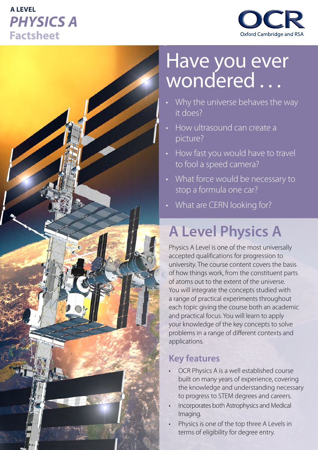# **A LEVEL** *PHYSICS A* **Factsheet**





# Have you ever wondered . . .

- Why the universe behaves the way it does?
- How ultrasound can create a picture?
- How fast you would have to travel to fool a speed camera?
- What force would be necessary to stop a formula one car?
- What are CERN looking for?

# **A Level Physics A**

Physics A Level is one of the most universally accepted qualifications for progression to university. The course content covers the basis of how things work, from the constituent parts of atoms out to the extent of the universe. You will integrate the concepts studied with a range of practical experiments throughout each topic giving the course both an academic and practical focus. You will learn to apply your knowledge of the key concepts to solve problems in a range of different contexts and applications.

### **Key features**

- OCR Physics A is a well established course built on many years of experience, covering the knowledge and understanding necessary to progress to STEM degrees and careers.
- Incorporates both Astrophysics and Medical Imaging.
- Physics is one of the top three A Levels in terms of eligibility for degree entry.